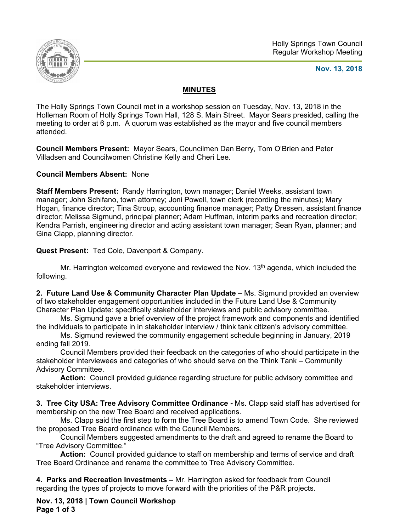

#### **Nov. 13, 2018**

### **MINUTES**

The Holly Springs Town Council met in a workshop session on Tuesday, Nov. 13, 2018 in the Holleman Room of Holly Springs Town Hall, 128 S. Main Street. Mayor Sears presided, calling the meeting to order at 6 p.m. A quorum was established as the mayor and five council members attended.

**Council Members Present:** Mayor Sears, Councilmen Dan Berry, Tom O'Brien and Peter Villadsen and Councilwomen Christine Kelly and Cheri Lee.

**Council Members Absent:** None

**Staff Members Present:** Randy Harrington, town manager; Daniel Weeks, assistant town manager; John Schifano, town attorney; Joni Powell, town clerk (recording the minutes); Mary Hogan, finance director; Tina Stroup, accounting finance manager; Patty Dressen, assistant finance director; Melissa Sigmund, principal planner; Adam Huffman, interim parks and recreation director; Kendra Parrish, engineering director and acting assistant town manager; Sean Ryan, planner; and Gina Clapp, planning director.

**Quest Present:** Ted Cole, Davenport & Company.

Mr. Harrington welcomed everyone and reviewed the Nov.  $13<sup>th</sup>$  agenda, which included the following.

**2. Future Land Use & Community Character Plan Update –** Ms. Sigmund provided an overview of two stakeholder engagement opportunities included in the Future Land Use & Community Character Plan Update: specifically stakeholder interviews and public advisory committee.

Ms. Sigmund gave a brief overview of the project framework and components and identified the individuals to participate in in stakeholder interview / think tank citizen's advisory committee.

Ms. Sigmund reviewed the community engagement schedule beginning in January, 2019 ending fall 2019.

Council Members provided their feedback on the categories of who should participate in the stakeholder interviewees and categories of who should serve on the Think Tank – Community Advisory Committee.

**Action:** Council provided guidance regarding structure for public advisory committee and stakeholder interviews.

**3. Tree City USA: Tree Advisory Committee Ordinance -** Ms. Clapp said staff has advertised for membership on the new Tree Board and received applications.

 Ms. Clapp said the first step to form the Tree Board is to amend Town Code. She reviewed the proposed Tree Board ordinance with the Council Members.

Council Members suggested amendments to the draft and agreed to rename the Board to "Tree Advisory Committee."

**Action:** Council provided guidance to staff on membership and terms of service and draft Tree Board Ordinance and rename the committee to Tree Advisory Committee.

**4. Parks and Recreation Investments –** Mr. Harrington asked for feedback from Council regarding the types of projects to move forward with the priorities of the P&R projects.

**Nov. 13, 2018 | Town Council Workshop Page 1 of 3**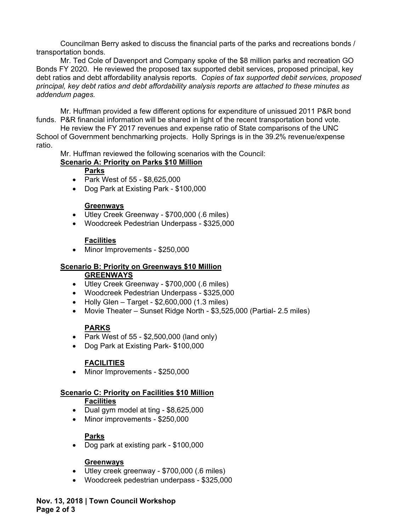Councilman Berry asked to discuss the financial parts of the parks and recreations bonds / transportation bonds.

Mr. Ted Cole of Davenport and Company spoke of the \$8 million parks and recreation GO Bonds FY 2020. He reviewed the proposed tax supported debit services, proposed principal, key debt ratios and debt affordability analysis reports. *Copies of tax supported debit services, proposed principal, key debt ratios and debt affordability analysis reports are attached to these minutes as addendum pages.* 

Mr. Huffman provided a few different options for expenditure of unissued 2011 P&R bond funds. P&R financial information will be shared in light of the recent transportation bond vote.

 He review the FY 2017 revenues and expense ratio of State comparisons of the UNC School of Government benchmarking projects. Holly Springs is in the 39.2% revenue/expense ratio.

Mr. Huffman reviewed the following scenarios with the Council:

### **Scenario A: Priority on Parks \$10 Million**

#### **Parks**

- Park West of 55 \$8,625,000
- Dog Park at Existing Park \$100,000

#### **Greenways**

- Utley Creek Greenway \$700,000 (.6 miles)
- Woodcreek Pedestrian Underpass \$325,000

### **Facilities**

• Minor Improvements - \$250,000

#### **Scenario B: Priority on Greenways \$10 Million GREENWAYS**

- Utley Creek Greenway \$700,000 (.6 miles)
- Woodcreek Pedestrian Underpass \$325,000
- $\bullet$  Holly Glen Target \$2,600,000 (1.3 miles)
- Movie Theater Sunset Ridge North \$3,525,000 (Partial- 2.5 miles)

### **PARKS**

- Park West of  $55 $2,500,000$  (land only)
- Dog Park at Existing Park- \$100,000

## **FACILITIES**

• Minor Improvements - \$250,000

### **Scenario C: Priority on Facilities \$10 Million**

### **Facilities**

- Dual gym model at ting \$8,625,000
- Minor improvements \$250,000

### **Parks**

Dog park at existing park - \$100,000

### **Greenways**

- Utley creek greenway \$700,000 (.6 miles)
- Woodcreek pedestrian underpass \$325,000

**Nov. 13, 2018 | Town Council Workshop Page 2 of 3**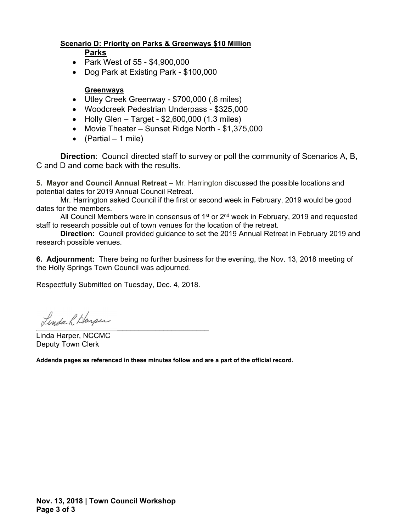### **Scenario D: Priority on Parks & Greenways \$10 Million**

#### **Parks**

- Park West of 55 \$4,900,000
- Dog Park at Existing Park \$100,000

### **Greenways**

- Utley Creek Greenway \$700,000 (.6 miles)
- Woodcreek Pedestrian Underpass \$325,000
- $\bullet$  Holly Glen Target \$2,600,000 (1.3 miles)
- Movie Theater Sunset Ridge North \$1,375,000
- $(Partial 1 mile)$

**Direction**: Council directed staff to survey or poll the community of Scenarios A, B, C and D and come back with the results.

**5. Mayor and Council Annual Retreat** – Mr. Harrington discussed the possible locations and potential dates for 2019 Annual Council Retreat.

Mr. Harrington asked Council if the first or second week in February, 2019 would be good dates for the members.

All Council Members were in consensus of 1<sup>st</sup> or  $2<sup>nd</sup>$  week in February, 2019 and requested staff to research possible out of town venues for the location of the retreat.

**Direction:** Council provided guidance to set the 2019 Annual Retreat in February 2019 and research possible venues.

**6. Adjournment:** There being no further business for the evening, the Nov. 13, 2018 meeting of the Holly Springs Town Council was adjourned.

Respectfully Submitted on Tuesday, Dec. 4, 2018.

 $\overline{\phantom{a}}$ 

Linda Harper, NCCMC Deputy Town Clerk

**Addenda pages as referenced in these minutes follow and are a part of the official record.**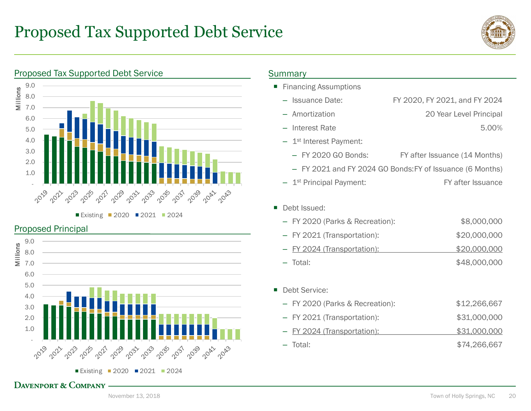# Proposed Tax Supported Debt Service



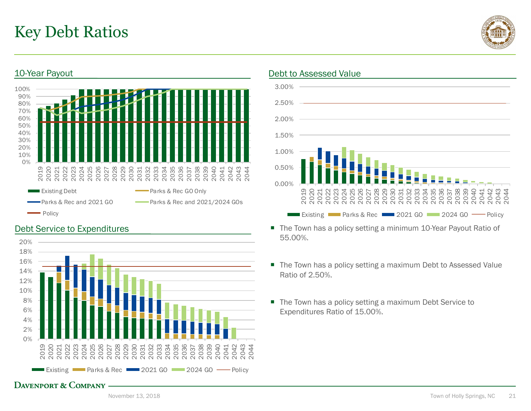# Key Debt Ratios

10-Year Payout



## 30%<br>20%<br>10%<br>0%  $\frac{10\%}{0\%}$ 20% 40% 50% 60% 70% 80% 90% 100% 2019 2020 2021 2022 2023 2024 2025 2026 2027 2028 2029 2030 2031 2032 2033 2034 2035 2036 2037 2038 2039 2040 2041 2042 2043 2044 Existing Debt **Parks & Rec GO Only** Parks & Rec and 2021 GO Parks & Rec and 2021/2024 GOs Policy

# Debt Service to Expenditures



## Debt to Assessed Value



- The Town has a policy setting a minimum 10-Year Payout Ratio of 55.00%.
- The Town has a policy setting a maximum Debt to Assessed Value Ratio of 2.50%.
- The Town has a policy setting a maximum Debt Service to Expenditures Ratio of 15.00%.

# DAVENPORT & COMPANY ———————————————